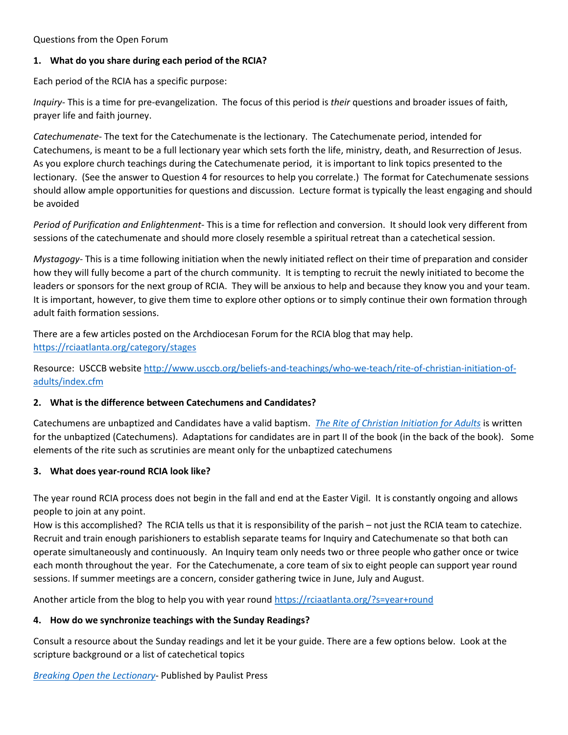Questions from the Open Forum

### **1. What do you share during each period of the RCIA?**

Each period of the RCIA has a specific purpose:

*Inquiry*- This is a time for pre-evangelization. The focus of this period is *their* questions and broader issues of faith, prayer life and faith journey.

*Catechumenate*- The text for the Catechumenate is the lectionary. The Catechumenate period, intended for Catechumens, is meant to be a full lectionary year which sets forth the life, ministry, death, and Resurrection of Jesus. As you explore church teachings during the Catechumenate period, it is important to link topics presented to the lectionary. (See the answer to Question 4 for resources to help you correlate.) The format for Catechumenate sessions should allow ample opportunities for questions and discussion. Lecture format is typically the least engaging and should be avoided

*Period of Purification and Enlightenment*- This is a time for reflection and conversion. It should look very different from sessions of the catechumenate and should more closely resemble a spiritual retreat than a catechetical session.

*Mystagogy-* This is a time following initiation when the newly initiated reflect on their time of preparation and consider how they will fully become a part of the church community. It is tempting to recruit the newly initiated to become the leaders or sponsors for the next group of RCIA. They will be anxious to help and because they know you and your team. It is important, however, to give them time to explore other options or to simply continue their own formation through adult faith formation sessions.

There are a few articles posted on the Archdiocesan Forum for the RCIA blog that may help. <https://rciaatlanta.org/category/stages>

Resource: USCCB website [http://www.usccb.org/beliefs-and-teachings/who-we-teach/rite-of-christian-initiation-of](http://www.usccb.org/beliefs-and-teachings/who-we-teach/rite-of-christian-initiation-of-adults/index.cfm)[adults/index.cfm](http://www.usccb.org/beliefs-and-teachings/who-we-teach/rite-of-christian-initiation-of-adults/index.cfm) 

### **2. What is the difference between Catechumens and Candidates?**

Catechumens are unbaptized and Candidates have a valid baptism. *[The Rite of Christian Initiation for Adults](https://www.ltp.org/products/details/PRCIA/rite-of-christian-initiation-of-adults)* is written for the unbaptized (Catechumens). Adaptations for candidates are in part II of the book (in the back of the book). Some elements of the rite such as scrutinies are meant only for the unbaptized catechumens

### **3. What does year-round RCIA look like?**

The year round RCIA process does not begin in the fall and end at the Easter Vigil. It is constantly ongoing and allows people to join at any point.

How is this accomplished? The RCIA tells us that it is responsibility of the parish – not just the RCIA team to catechize. Recruit and train enough parishioners to establish separate teams for Inquiry and Catechumenate so that both can operate simultaneously and continuously. An Inquiry team only needs two or three people who gather once or twice each month throughout the year. For the Catechumenate, a core team of six to eight people can support year round sessions. If summer meetings are a concern, consider gathering twice in June, July and August.

Another article from the blog to help you with year round<https://rciaatlanta.org/?s=year+round>

# **4. How do we synchronize teachings with the Sunday Readings?**

Consult a resource about the Sunday readings and let it be your guide. There are a few options below. Look at the scripture background or a list of catechetical topics

*[Breaking Open the Lectionary-](http://www.paulistpress.com/Products/4289-9/breaking-open-the-lectionary.aspx)* Published by Paulist Press